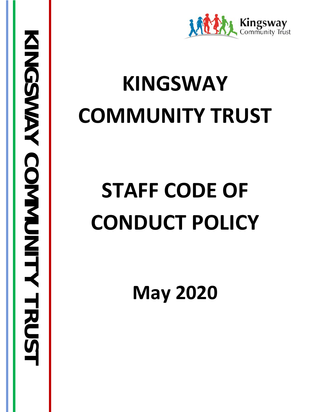

## **KINGSWAY COMMUNITY TRUST**

# **STAFF CODE OF CONDUCT POLICY**

**May 2020**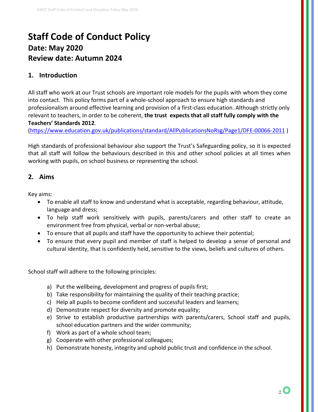### **Staff Code of Conduct Policy Date: May 2020 Review date: Autumn 2024**

#### **1. Introduction**

All staff who work at our Trust schools are important role models for the pupils with whom they come into contact. This policy forms part of a whole-school approach to ensure high standards and professionalism around effective learning and provision of a first-class education. Although strictly only relevant to teachers, in order to be coherent, **the trust expects that all staff fully comply with the Teachers' Standards 2012**.

[\(https://www.education.gov.uk/publications/standard/AllPublicationsNoRsg/Page1/DFE-00066-2011](https://www.education.gov.uk/publications/standard/AllPublicationsNoRsg/Page1/DFE-00066-2011) )

High standards of professional behaviour also support the Trust's Safeguarding policy, so it is expected that all staff will follow the behaviours described in this and other school policies at all times when working with pupils, on school business or representing the school.

#### **2. Aims**

Key aims:

- To enable all staff to know and understand what is acceptable, regarding behaviour, attitude, language and dress;
- To help staff work sensitively with pupils, parents/carers and other staff to create an environment free from physical, verbal or non-verbal abuse;
- To ensure that all pupils and staff have the opportunity to achieve their potential;
- To ensure that every pupil and member of staff is helped to develop a sense of personal and cultural identity, that is confidently held, sensitive to the views, beliefs and cultures of others.

School staff will adhere to the following principles:

- a) Put the wellbeing, development and progress of pupils first;
- b) Take responsibility for maintaining the quality of their teaching practice;
- c) Help all pupils to become confident and successful leaders and learners;
- d) Demonstrate respect for diversity and promote equality;
- e) Strive to establish productive partnerships with parents/carers, School staff and pupils, school education partners and the wider community;
- f) Work as part of a whole school team;
- g) Cooperate with other professional colleagues;
- h) Demonstrate honesty, integrity and uphold public trust and confidence in the school.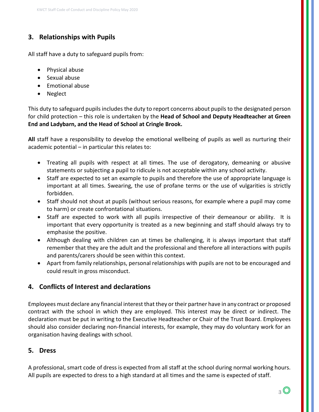### **3. Relationships with Pupils**

All staff have a duty to safeguard pupils from:

- Physical abuse
- Sexual abuse
- Emotional abuse
- Neglect

This duty to safeguard pupils includes the duty to report concerns about pupils to the designated person for child protection – this role is undertaken by the **Head of School and Deputy Headteacher at Green End and Ladybarn, and the Head of School at Cringle Brook.**

**All** staff have a responsibility to develop the emotional wellbeing of pupils as well as nurturing their academic potential – in particular this relates to:

- Treating all pupils with respect at all times. The use of derogatory, demeaning or abusive statements or subjecting a pupil to ridicule is not acceptable within any school activity.
- Staff are expected to set an example to pupils and therefore the use of appropriate language is important at all times. Swearing, the use of profane terms or the use of vulgarities is strictly forbidden.
- Staff should not shout at pupils (without serious reasons, for example where a pupil may come to harm) or create confrontational situations.
- Staff are expected to work with all pupils irrespective of their demeanour or ability. It is important that every opportunity is treated as a new beginning and staff should always try to emphasise the positive.
- Although dealing with children can at times be challenging, it is always important that staff remember that they are the adult and the professional and therefore all interactions with pupils and parents/carers should be seen within this context.
- Apart from family relationships, personal relationships with pupils are not to be encouraged and could result in gross misconduct.

#### **4. Conflicts of Interest and declarations**

Employees must declare any financial interest that they or their partner have in any contract or proposed contract with the school in which they are employed. This interest may be direct or indirect. The declaration must be put in writing to the Executive Headteacher or Chair of the Trust Board. Employees should also consider declaring non-financial interests, for example, they may do voluntary work for an organisation having dealings with school.

#### **5. Dress**

A professional, smart code of dress is expected from all staff at the school during normal working hours. All pupils are expected to dress to a high standard at all times and the same is expected of staff.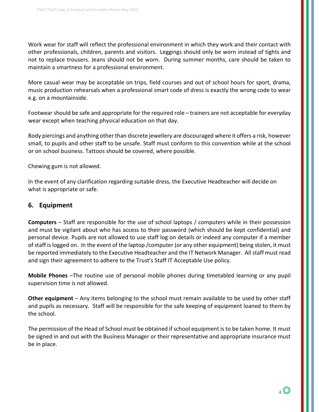Work wear for staff will reflect the professional environment in which they work and their contact with other professionals, children, parents and visitors. Leggings should only be worn instead of tights and not to replace trousers. Jeans should not be worn. During summer months, care should be taken to maintain a smartness for a professional environment.

More casual wear may be acceptable on trips, field courses and out of school hours for sport, drama, music production rehearsals when a professional smart code of dress is exactly the wrong code to wear e.g. on a mountainside.

Footwear should be safe and appropriate for the required role – trainers are not acceptable for everyday wear except when teaching physical education on that day.

Body piercings and anything other than discrete jewellery are discouraged where it offers a risk, however small, to pupils and other staff to be unsafe. Staff must conform to this convention while at the school or on school business. Tattoos should be covered, where possible.

Chewing gum is not allowed.

In the event of any clarification regarding suitable dress, the Executive Headteacher will decide on what is appropriate or safe.

#### **6. Equipment**

**Computers** – Staff are responsible for the use of school laptops / computers while in their possession and must be vigilant about who has access to their password (which should be kept confidential) and personal device. Pupils are not allowed to use staff log on details or indeed any computer if a member of staff is logged on. In the event of the laptop /computer (or any other equipment) being stolen, it must be reported immediately to the Executive Headteacher and the IT Network Manager. All staff must read and sign their agreement to adhere to the Trust's Staff IT Acceptable Use policy.

**Mobile Phones** –The routine use of personal mobile phones during timetabled learning or any pupil supervision time is not allowed.

**Other equipment** – Any items belonging to the school must remain available to be used by other staff and pupils as necessary. Staff will be responsible for the safe keeping of equipment loaned to them by the school.

The permission of the Head of School must be obtained if school equipment is to be taken home. It must be signed in and out with the Business Manager or their representative and appropriate insurance must be in place.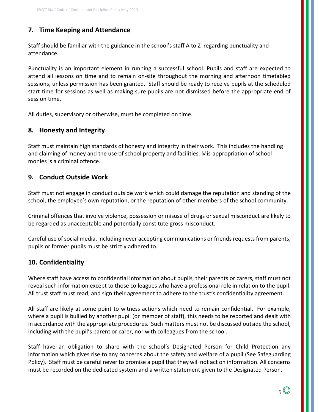### **7. Time Keeping and Attendance**

Staff should be familiar with the guidance in the school's staff A to Z regarding punctuality and attendance.

Punctuality is an important element in running a successful school. Pupils and staff are expected to attend all lessons on time and to remain on-site throughout the morning and afternoon timetabled sessions, unless permission has been granted. Staff should be ready to receive pupils at the scheduled start time for sessions as well as making sure pupils are not dismissed before the appropriate end of session time.

All duties, supervisory or otherwise, must be completed on time.

#### **8. Honesty and Integrity**

Staff must maintain high standards of honesty and integrity in their work. This includes the handling and claiming of money and the use of school property and facilities. Mis-appropriation of school monies is a criminal offence.

#### **9. Conduct Outside Work**

Staff must not engage in conduct outside work which could damage the reputation and standing of the school, the employee's own reputation, or the reputation of other members of the school community.

Criminal offences that involve violence, possession or misuse of drugs or sexual misconduct are likely to be regarded as unacceptable and potentially constitute gross misconduct.

Careful use of social media, including never accepting communications or friends requests from parents, pupils or former pupils must be strictly adhered to.

#### **10. Confidentiality**

Where staff have access to confidential information about pupils, their parents or carers, staff must not reveal such information except to those colleagues who have a professional role in relation to the pupil. All trust staff must read, and sign their agreement to adhere to the trust's confidentiality agreement.

All staff are likely at some point to witness actions which need to remain confidential. For example, where a pupil is bullied by another pupil (or member of staff), this needs to be reported and dealt with in accordance with the appropriate procedures. Such matters must not be discussed outside the school, including with the pupil's parent or carer, nor with colleagues from the school.

Staff have an obligation to share with the school's Designated Person for Child Protection any information which gives rise to any concerns about the safety and welfare of a pupil (See Safeguarding Policy). Staff must be careful never to promise a pupil that they will not act on information. All concerns must be recorded on the dedicated system and a written statement given to the Designated Person.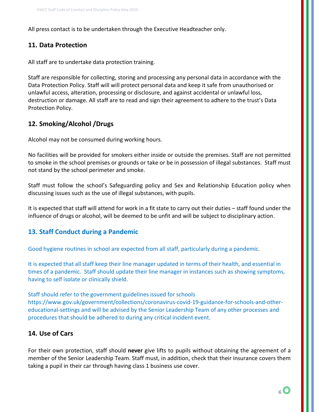All press contact is to be undertaken through the Executive Headteacher only.

#### **11. Data Protection**

All staff are to undertake data protection training.

Staff are responsible for collecting, storing and processing any personal data in accordance with the Data Protection Policy. Staff will will protect personal data and keep it safe from unauthorised or unlawful access, alteration, processing or disclosure, and against accidental or unlawful loss, destruction or damage. All staff are to read and sign their agreement to adhere to the trust's Data Protection Policy.

#### **12. Smoking/Alcohol /Drugs**

Alcohol may not be consumed during working hours.

No facilities will be provided for smokers either inside or outside the premises. Staff are not permitted to smoke in the school premises or grounds or take or be in possession of illegal substances. Staff must not stand by the school perimeter and smoke.

Staff must follow the school's Safeguarding policy and Sex and Relationship Education policy when discussing issues such as the use of illegal substances, with pupils.

It is expected that staff will attend for work in a fit state to carry out their duties – staff found under the influence of drugs or alcohol, will be deemed to be unfit and will be subject to disciplinary action.

#### **13. Staff Conduct during a Pandemic**

Good hygiene routines in school are expected from all staff, particularly during a pandemic.

It is expected that all staff keep their line manager updated in terms of their health, and essential in times of a pandemic. Staff should update their line manager in instances such as showing symptoms, having to self isolate or clinically shield.

Staff should refer to the government guidelines issued for schools [https://www.gov.uk/government/collections/coronavirus-covid-19-guidance-for-schools-and-other](https://www.gov.uk/government/collections/coronavirus-covid-19-guidance-for-schools-and-other-educational-settings)[educational-settings](https://www.gov.uk/government/collections/coronavirus-covid-19-guidance-for-schools-and-other-educational-settings) and will be advised by the Senior Leadership Team of any other processes and procedures that should be adhered to during any critical incident event.

#### **14. Use of Cars**

For their own protection, staff should **never** give lifts to pupils without obtaining the agreement of a member of the Senior Leadership Team. Staff must, in addition, check that their insurance covers them taking a pupil in their car through having class 1 business use cover.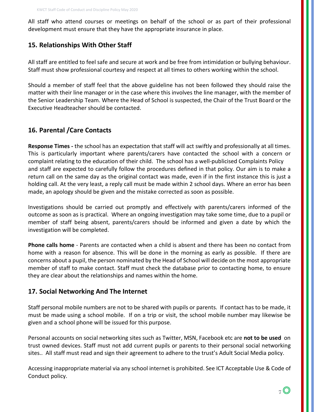All staff who attend courses or meetings on behalf of the school or as part of their professional development must ensure that they have the appropriate insurance in place.

#### **15. Relationships With Other Staff**

All staff are entitled to feel safe and secure at work and be free from intimidation or bullying behaviour. Staff must show professional courtesy and respect at all times to others working within the school.

Should a member of staff feel that the above guideline has not been followed they should raise the matter with their line manager or in the case where this involves the line manager, with the member of the Senior Leadership Team. Where the Head of School is suspected, the Chair of the Trust Board or the Executive Headteacher should be contacted.

#### **16. Parental /Care Contacts**

**Response Times -** the school has an expectation that staff will act swiftly and professionally at all times. This is particularly important where parents/carers have contacted the school with a concern or complaint relating to the education of their child. The school has a well-publicised Complaints Policy and staff are expected to carefully follow the procedures defined in that policy. Our aim is to make a return call on the same day as the original contact was made, even if in the first instance this is just a holding call. At the very least, a reply call must be made within 2 school days. Where an error has been made, an apology should be given and the mistake corrected as soon as possible.

Investigations should be carried out promptly and effectively with parents/carers informed of the outcome as soon as is practical. Where an ongoing investigation may take some time, due to a pupil or member of staff being absent, parents/carers should be informed and given a date by which the investigation will be completed.

**Phone calls home** - Parents are contacted when a child is absent and there has been no contact from home with a reason for absence. This will be done in the morning as early as possible. If there are concerns about a pupil, the person nominated by the Head of School will decide on the most appropriate member of staff to make contact. Staff must check the database prior to contacting home, to ensure they are clear about the relationships and names within the home.

#### **17. Social Networking And The Internet**

Staff personal mobile numbers are not to be shared with pupils or parents. If contact has to be made, it must be made using a school mobile. If on a trip or visit, the school mobile number may likewise be given and a school phone will be issued for this purpose.

Personal accounts on social networking sites such as Twitter, MSN, Facebook etc are **not to be used** on trust owned devices. Staff must not add current pupils or parents to their personal social networking sites.. All staff must read and sign their agreement to adhere to the trust's Adult Social Media policy.

Accessing inappropriate material via any school internet is prohibited. See ICT Acceptable Use & Code of Conduct policy.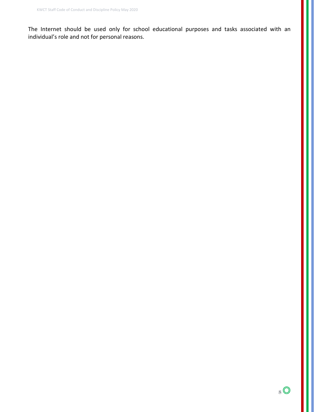The Internet should be used only for school educational purposes and tasks associated with an individual's role and not for personal reasons.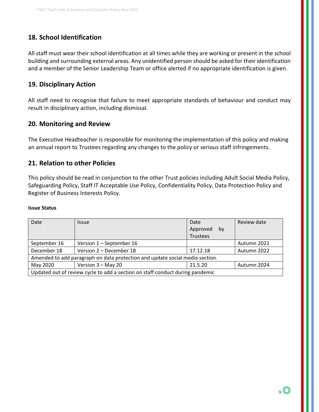### **18. School Identification**

All staff must wear their school identification at all times while they are working or present in the school building and surrounding external areas. Any unidentified person should be asked for their identification and a member of the Senior Leadership Team or office alerted if no appropriate identification is given.

#### **19. Disciplinary Action**

All staff need to recognise that failure to meet appropriate standards of behaviour and conduct may result in disciplinary action, including dismissal.

#### **20. Monitoring and Review**

The Executive Headteacher is responsible for monitoring the implementation of this policy and making an annual report to Trustees regarding any changes to the policy or serious staff infringements.

#### **21. Relation to other Policies**

This policy should be read in conjunction to the other Trust policies including Adult Social Media Policy, Safeguarding Policy, Staff IT Acceptable Use Policy, Confidentiality Policy, Data Protection Policy and Register of Business Interests Policy.

#### **Issue Status**

| Date                                                                          | <i><u><b>Issue</b></u></i> | Date            | Review date |
|-------------------------------------------------------------------------------|----------------------------|-----------------|-------------|
|                                                                               |                            | Approved<br>bv  |             |
|                                                                               |                            | <b>Trustees</b> |             |
| September 16                                                                  | Version 1 - September 16   |                 | Autumn 2021 |
| December 18                                                                   | Version 2 - December 18    | 17.12.18        | Autumn 2022 |
| Amended to add paragraph on data protection and update social media section.  |                            |                 |             |
| May 2020                                                                      | Version 3 - May 20         | 21.5.20         | Autumn 2024 |
| Updated out of review cycle to add a section on staff conduct during pandemic |                            |                 |             |